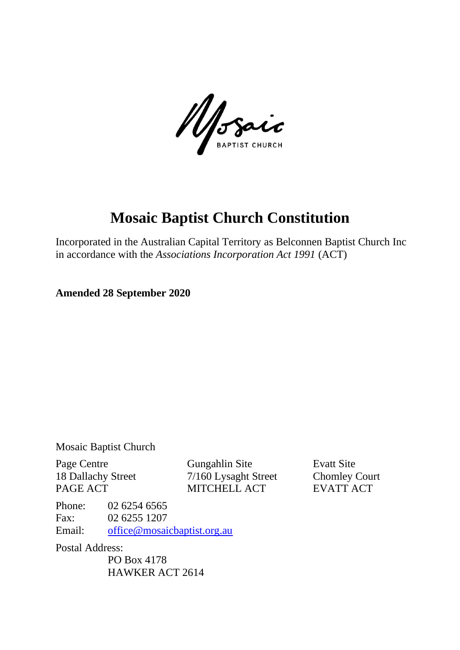Mosaic

# **Mosaic Baptist Church Constitution**

Incorporated in the Australian Capital Territory as Belconnen Baptist Church Inc in accordance with the *Associations Incorporation Act 1991* (ACT)

**Amended 28 September 2020**

Mosaic Baptist Church

Page Centre Gungahlin Site Evatt Site 18 Dallachy Street 7/160 Lysaght Street Chomley Court PAGE ACT MITCHELL ACT EVATT ACT

Phone: 02 6254 6565 Fax: 02 6255 1207 Email: [office@mosaicbaptist.org.au](mailto:office@mosaicbaptist.org.au)

Postal Address:

PO Box 4178 HAWKER ACT 2614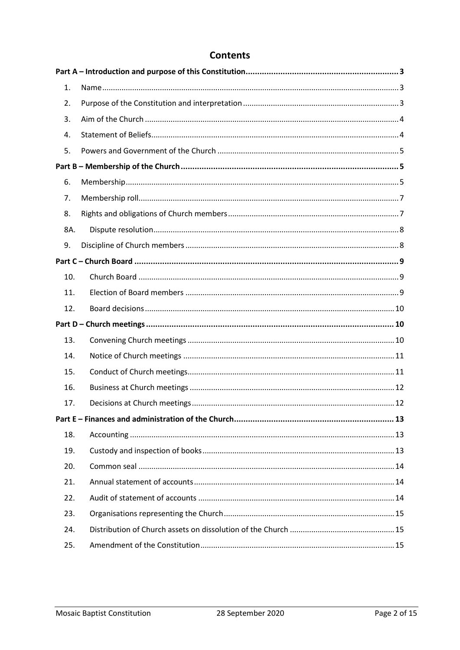# **Contents**

| 1.  |  |
|-----|--|
| 2.  |  |
| 3.  |  |
| 4.  |  |
| 5.  |  |
|     |  |
| 6.  |  |
| 7.  |  |
| 8.  |  |
| 8A. |  |
| 9.  |  |
|     |  |
| 10. |  |
| 11. |  |
| 12. |  |
|     |  |
| 13. |  |
| 14. |  |
| 15. |  |
| 16. |  |
| 17. |  |
|     |  |
| 18. |  |
| 19. |  |
| 20. |  |
| 21. |  |
| 22. |  |
| 23. |  |
| 24. |  |
| 25. |  |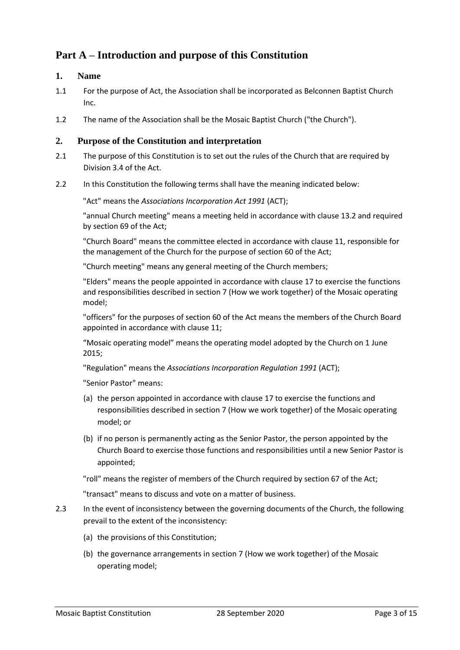# <span id="page-2-0"></span>**Part A – Introduction and purpose of this Constitution**

# <span id="page-2-1"></span>**1. Name**

- 1.1 For the purpose of Act, the Association shall be incorporated as Belconnen Baptist Church Inc.
- 1.2 The name of the Association shall be the Mosaic Baptist Church ("the Church").

# <span id="page-2-2"></span>**2. Purpose of the Constitution and interpretation**

- 2.1 The purpose of this Constitution is to set out the rules of the Church that are required by Division 3.4 of the Act.
- 2.2 In this Constitution the following terms shall have the meaning indicated below:

"Act" means the *Associations Incorporation Act 1991* (ACT);

"annual Church meeting" means a meeting held in accordance with clause 13.2 and required by section 69 of the Act;

"Church Board" means the committee elected in accordance with clause 11, responsible for the management of the Church for the purpose of section 60 of the Act;

"Church meeting" means any general meeting of the Church members;

"Elders" means the people appointed in accordance with clause 17 to exercise the functions and responsibilities described in section 7 (How we work together) of the Mosaic operating model;

"officers" for the purposes of section 60 of the Act means the members of the Church Board appointed in accordance with clause 11;

"Mosaic operating model" means the operating model adopted by the Church on 1 June 2015;

"Regulation" means the *Associations Incorporation Regulation 1991* (ACT);

"Senior Pastor" means:

- (a) the person appointed in accordance with clause 17 to exercise the functions and responsibilities described in section 7 (How we work together) of the Mosaic operating model; or
- (b) if no person is permanently acting as the Senior Pastor, the person appointed by the Church Board to exercise those functions and responsibilities until a new Senior Pastor is appointed;

"roll" means the register of members of the Church required by section 67 of the Act;

"transact" means to discuss and vote on a matter of business.

- 2.3 In the event of inconsistency between the governing documents of the Church, the following prevail to the extent of the inconsistency:
	- (a) the provisions of this Constitution;
	- (b) the governance arrangements in section 7 (How we work together) of the Mosaic operating model;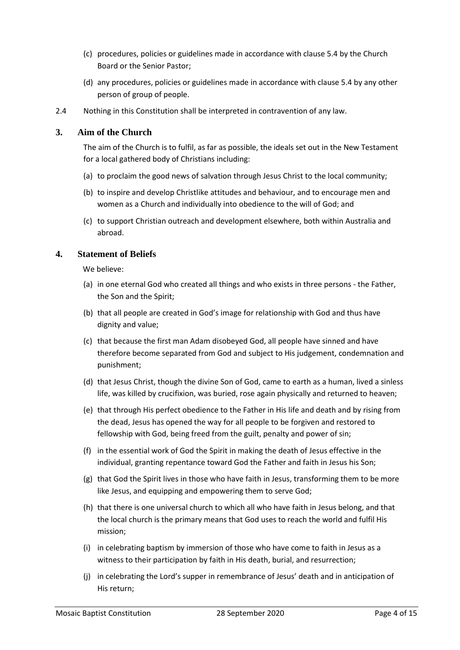- (c) procedures, policies or guidelines made in accordance with clause 5.4 by the Church Board or the Senior Pastor;
- (d) any procedures, policies or guidelines made in accordance with clause 5.4 by any other person of group of people.
- 2.4 Nothing in this Constitution shall be interpreted in contravention of any law.

#### <span id="page-3-0"></span>**3. Aim of the Church**

The aim of the Church is to fulfil, as far as possible, the ideals set out in the New Testament for a local gathered body of Christians including:

- (a) to proclaim the good news of salvation through Jesus Christ to the local community;
- (b) to inspire and develop Christlike attitudes and behaviour, and to encourage men and women as a Church and individually into obedience to the will of God; and
- (c) to support Christian outreach and development elsewhere, both within Australia and abroad.

#### <span id="page-3-1"></span>**4. Statement of Beliefs**

We believe:

- (a) in one eternal God who created all things and who exists in three persons the Father, the Son and the Spirit;
- (b) that all people are created in God's image for relationship with God and thus have dignity and value;
- (c) that because the first man Adam disobeyed God, all people have sinned and have therefore become separated from God and subject to His judgement, condemnation and punishment;
- (d) that Jesus Christ, though the divine Son of God, came to earth as a human, lived a sinless life, was killed by crucifixion, was buried, rose again physically and returned to heaven;
- (e) that through His perfect obedience to the Father in His life and death and by rising from the dead, Jesus has opened the way for all people to be forgiven and restored to fellowship with God, being freed from the guilt, penalty and power of sin;
- (f) in the essential work of God the Spirit in making the death of Jesus effective in the individual, granting repentance toward God the Father and faith in Jesus his Son;
- (g) that God the Spirit lives in those who have faith in Jesus, transforming them to be more like Jesus, and equipping and empowering them to serve God;
- (h) that there is one universal church to which all who have faith in Jesus belong, and that the local church is the primary means that God uses to reach the world and fulfil His mission;
- (i) in celebrating baptism by immersion of those who have come to faith in Jesus as a witness to their participation by faith in His death, burial, and resurrection;
- (j) in celebrating the Lord's supper in remembrance of Jesus' death and in anticipation of His return;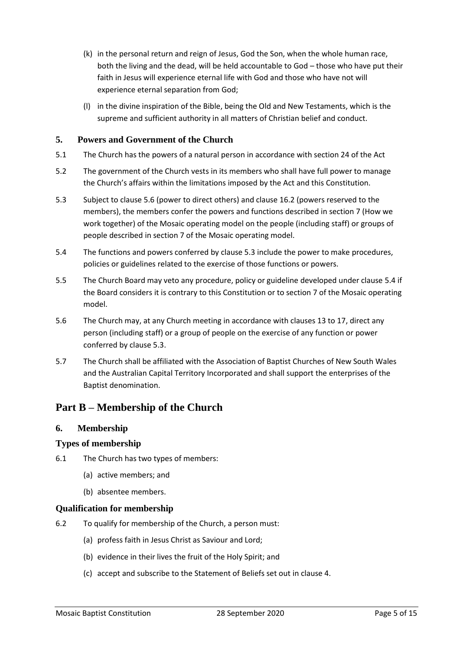- (k) in the personal return and reign of Jesus, God the Son, when the whole human race, both the living and the dead, will be held accountable to God – those who have put their faith in Jesus will experience eternal life with God and those who have not will experience eternal separation from God;
- (l) in the divine inspiration of the Bible, being the Old and New Testaments, which is the supreme and sufficient authority in all matters of Christian belief and conduct.

# <span id="page-4-0"></span>**5. Powers and Government of the Church**

- 5.1 The Church has the powers of a natural person in accordance with section 24 of the Act
- 5.2 The government of the Church vests in its members who shall have full power to manage the Church's affairs within the limitations imposed by the Act and this Constitution.
- 5.3 Subject to clause 5.6 (power to direct others) and clause 16.2 (powers reserved to the members), the members confer the powers and functions described in section 7 (How we work together) of the Mosaic operating model on the people (including staff) or groups of people described in section 7 of the Mosaic operating model.
- 5.4 The functions and powers conferred by clause 5.3 include the power to make procedures, policies or guidelines related to the exercise of those functions or powers.
- 5.5 The Church Board may veto any procedure, policy or guideline developed under clause 5.4 if the Board considers it is contrary to this Constitution or to section 7 of the Mosaic operating model.
- 5.6 The Church may, at any Church meeting in accordance with clauses 13 to 17, direct any person (including staff) or a group of people on the exercise of any function or power conferred by clause 5.3.
- 5.7 The Church shall be affiliated with the Association of Baptist Churches of New South Wales and the Australian Capital Territory Incorporated and shall support the enterprises of the Baptist denomination.

# <span id="page-4-1"></span>**Part B – Membership of the Church**

#### <span id="page-4-2"></span>**6. Membership**

#### **Types of membership**

- 6.1 The Church has two types of members:
	- (a) active members; and
	- (b) absentee members.
- **Qualification for membership**
- 6.2 To qualify for membership of the Church, a person must:
	- (a) profess faith in Jesus Christ as Saviour and Lord;
	- (b) evidence in their lives the fruit of the Holy Spirit; and
	- (c) accept and subscribe to the Statement of Beliefs set out in clause 4.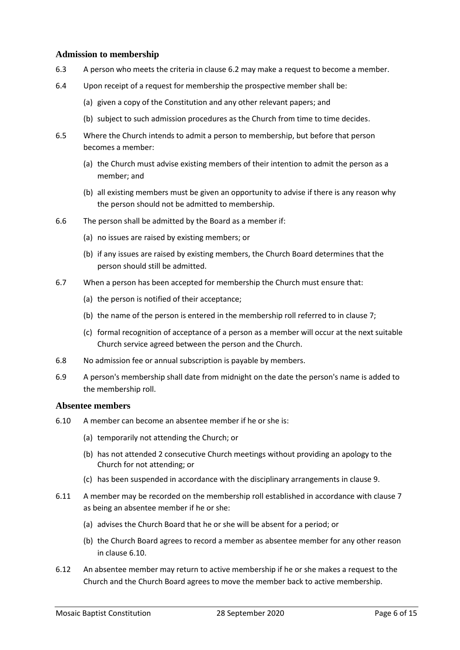#### **Admission to membership**

- 6.3 A person who meets the criteria in clause 6.2 may make a request to become a member.
- 6.4 Upon receipt of a request for membership the prospective member shall be:
	- (a) given a copy of the Constitution and any other relevant papers; and
	- (b) subject to such admission procedures as the Church from time to time decides.
- 6.5 Where the Church intends to admit a person to membership, but before that person becomes a member:
	- (a) the Church must advise existing members of their intention to admit the person as a member; and
	- (b) all existing members must be given an opportunity to advise if there is any reason why the person should not be admitted to membership.
- 6.6 The person shall be admitted by the Board as a member if:
	- (a) no issues are raised by existing members; or
	- (b) if any issues are raised by existing members, the Church Board determines that the person should still be admitted.
- 6.7 When a person has been accepted for membership the Church must ensure that:
	- (a) the person is notified of their acceptance;
	- (b) the name of the person is entered in the membership roll referred to in clause 7;
	- (c) formal recognition of acceptance of a person as a member will occur at the next suitable Church service agreed between the person and the Church.
- 6.8 No admission fee or annual subscription is payable by members.
- 6.9 A person's membership shall date from midnight on the date the person's name is added to the membership roll.

#### **Absentee members**

- 6.10 A member can become an absentee member if he or she is:
	- (a) temporarily not attending the Church; or
	- (b) has not attended 2 consecutive Church meetings without providing an apology to the Church for not attending; or
	- (c) has been suspended in accordance with the disciplinary arrangements in clause 9.
- 6.11 A member may be recorded on the membership roll established in accordance with clause 7 as being an absentee member if he or she:
	- (a) advises the Church Board that he or she will be absent for a period; or
	- (b) the Church Board agrees to record a member as absentee member for any other reason in clause 6.10.
- 6.12 An absentee member may return to active membership if he or she makes a request to the Church and the Church Board agrees to move the member back to active membership.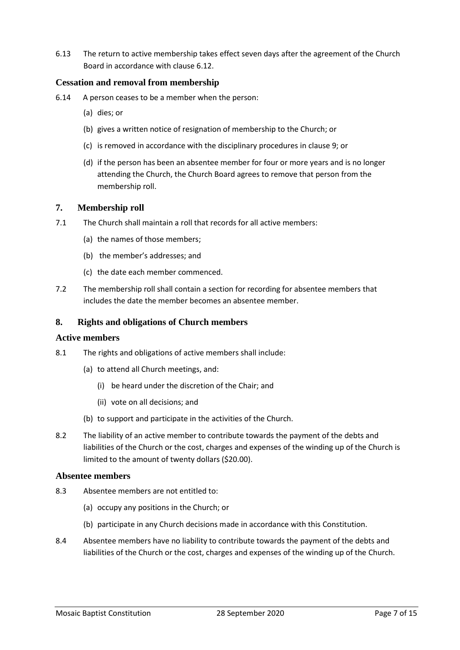6.13 The return to active membership takes effect seven days after the agreement of the Church Board in accordance with clause 6.12.

#### **Cessation and removal from membership**

- 6.14 A person ceases to be a member when the person:
	- (a) dies; or
	- (b) gives a written notice of resignation of membership to the Church; or
	- (c) is removed in accordance with the disciplinary procedures in clause 9; or
	- (d) if the person has been an absentee member for four or more years and is no longer attending the Church, the Church Board agrees to remove that person from the membership roll.

#### <span id="page-6-0"></span>**7. Membership roll**

- 7.1 The Church shall maintain a roll that records for all active members:
	- (a) the names of those members;
	- (b) the member's addresses; and
	- (c) the date each member commenced.
- 7.2 The membership roll shall contain a section for recording for absentee members that includes the date the member becomes an absentee member.

#### <span id="page-6-1"></span>**8. Rights and obligations of Church members**

#### **Active members**

- 8.1 The rights and obligations of active members shall include:
	- (a) to attend all Church meetings, and:
		- (i) be heard under the discretion of the Chair; and
		- (ii) vote on all decisions; and
	- (b) to support and participate in the activities of the Church.
- 8.2 The liability of an active member to contribute towards the payment of the debts and liabilities of the Church or the cost, charges and expenses of the winding up of the Church is limited to the amount of twenty dollars (\$20.00).

#### **Absentee members**

- 8.3 Absentee members are not entitled to:
	- (a) occupy any positions in the Church; or
	- (b) participate in any Church decisions made in accordance with this Constitution.
- 8.4 Absentee members have no liability to contribute towards the payment of the debts and liabilities of the Church or the cost, charges and expenses of the winding up of the Church.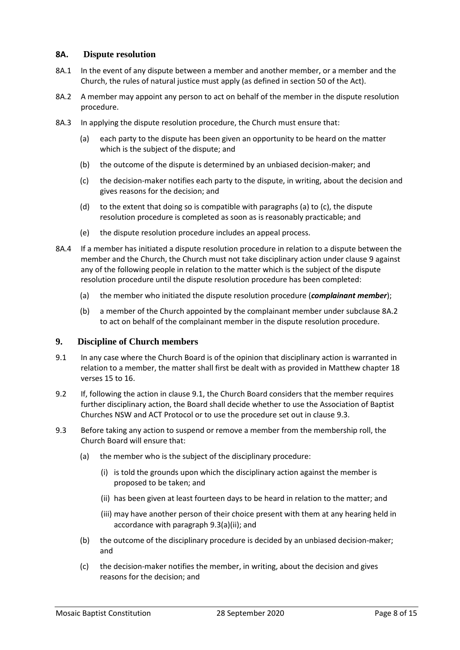#### <span id="page-7-0"></span>**8A. Dispute resolution**

- 8A.1 In the event of any dispute between a member and another member, or a member and the Church, the rules of natural justice must apply (as defined in section 50 of the Act).
- 8A.2 A member may appoint any person to act on behalf of the member in the dispute resolution procedure.
- 8A.3 In applying the dispute resolution procedure, the Church must ensure that:
	- (a) each party to the dispute has been given an opportunity to be heard on the matter which is the subject of the dispute; and
	- (b) the outcome of the dispute is determined by an unbiased decision-maker; and
	- (c) the decision-maker notifies each party to the dispute, in writing, about the decision and gives reasons for the decision; and
	- (d) to the extent that doing so is compatible with paragraphs (a) to (c), the dispute resolution procedure is completed as soon as is reasonably practicable; and
	- (e) the dispute resolution procedure includes an appeal process.
- 8A.4 If a member has initiated a dispute resolution procedure in relation to a dispute between the member and the Church, the Church must not take disciplinary action under clause 9 against any of the following people in relation to the matter which is the subject of the dispute resolution procedure until the dispute resolution procedure has been completed:
	- (a) the member who initiated the dispute resolution procedure (*complainant member*);
	- (b) a member of the Church appointed by the complainant member under subclause 8A.2 to act on behalf of the complainant member in the dispute resolution procedure.

#### <span id="page-7-1"></span>**9. Discipline of Church members**

- 9.1 In any case where the Church Board is of the opinion that disciplinary action is warranted in relation to a member, the matter shall first be dealt with as provided in Matthew chapter 18 verses 15 to 16.
- 9.2 If, following the action in clause 9.1, the Church Board considers that the member requires further disciplinary action, the Board shall decide whether to use the Association of Baptist Churches NSW and ACT Protocol or to use the procedure set out in clause 9.3.
- 9.3 Before taking any action to suspend or remove a member from the membership roll, the Church Board will ensure that:
	- (a) the member who is the subject of the disciplinary procedure:
		- (i) is told the grounds upon which the disciplinary action against the member is proposed to be taken; and
		- (ii) has been given at least fourteen days to be heard in relation to the matter; and
		- (iii) may have another person of their choice present with them at any hearing held in accordance with paragraph 9.3(a)(ii); and
	- (b) the outcome of the disciplinary procedure is decided by an unbiased decision-maker; and
	- (c) the decision-maker notifies the member, in writing, about the decision and gives reasons for the decision; and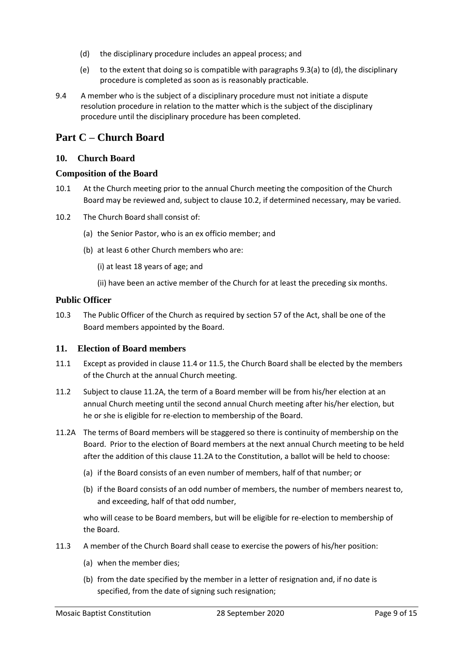- (d) the disciplinary procedure includes an appeal process; and
- (e) to the extent that doing so is compatible with paragraphs 9.3(a) to (d), the disciplinary procedure is completed as soon as is reasonably practicable.
- 9.4 A member who is the subject of a disciplinary procedure must not initiate a dispute resolution procedure in relation to the matter which is the subject of the disciplinary procedure until the disciplinary procedure has been completed.

# <span id="page-8-0"></span>**Part C – Church Board**

#### <span id="page-8-1"></span>**10. Church Board**

#### **Composition of the Board**

- 10.1 At the Church meeting prior to the annual Church meeting the composition of the Church Board may be reviewed and, subject to clause 10.2, if determined necessary, may be varied.
- 10.2 The Church Board shall consist of:
	- (a) the Senior Pastor, who is an ex officio member; and
	- (b) at least 6 other Church members who are:

(i) at least 18 years of age; and

(ii) have been an active member of the Church for at least the preceding six months.

#### **Public Officer**

10.3 The Public Officer of the Church as required by section 57 of the Act, shall be one of the Board members appointed by the Board.

#### <span id="page-8-2"></span>**11. Election of Board members**

- 11.1 Except as provided in clause 11.4 or 11.5, the Church Board shall be elected by the members of the Church at the annual Church meeting.
- 11.2 Subject to clause 11.2A, the term of a Board member will be from his/her election at an annual Church meeting until the second annual Church meeting after his/her election, but he or she is eligible for re-election to membership of the Board.
- 11.2A The terms of Board members will be staggered so there is continuity of membership on the Board. Prior to the election of Board members at the next annual Church meeting to be held after the addition of this clause 11.2A to the Constitution, a ballot will be held to choose:
	- (a) if the Board consists of an even number of members, half of that number; or
	- (b) if the Board consists of an odd number of members, the number of members nearest to, and exceeding, half of that odd number,

who will cease to be Board members, but will be eligible for re-election to membership of the Board.

- 11.3 A member of the Church Board shall cease to exercise the powers of his/her position:
	- (a) when the member dies;
	- (b) from the date specified by the member in a letter of resignation and, if no date is specified, from the date of signing such resignation;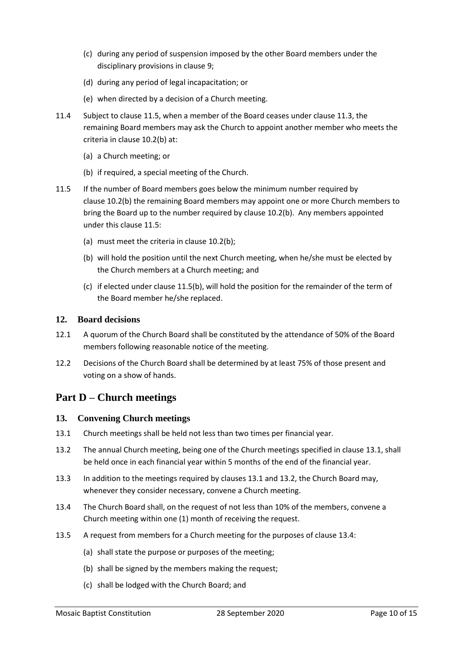- (c) during any period of suspension imposed by the other Board members under the disciplinary provisions in clause 9;
- (d) during any period of legal incapacitation; or
- (e) when directed by a decision of a Church meeting.
- 11.4 Subject to clause 11.5, when a member of the Board ceases under clause 11.3, the remaining Board members may ask the Church to appoint another member who meets the criteria in clause 10.2(b) at:
	- (a) a Church meeting; or
	- (b) if required, a special meeting of the Church.
- 11.5 If the number of Board members goes below the minimum number required by clause 10.2(b) the remaining Board members may appoint one or more Church members to bring the Board up to the number required by clause 10.2(b). Any members appointed under this clause 11.5:
	- (a) must meet the criteria in clause 10.2(b);
	- (b) will hold the position until the next Church meeting, when he/she must be elected by the Church members at a Church meeting; and
	- (c) if elected under clause 11.5(b), will hold the position for the remainder of the term of the Board member he/she replaced.

# <span id="page-9-0"></span>**12. Board decisions**

- 12.1 A quorum of the Church Board shall be constituted by the attendance of 50% of the Board members following reasonable notice of the meeting.
- 12.2 Decisions of the Church Board shall be determined by at least 75% of those present and voting on a show of hands.

# <span id="page-9-1"></span>**Part D – Church meetings**

#### <span id="page-9-2"></span>**13. Convening Church meetings**

- 13.1 Church meetings shall be held not less than two times per financial year.
- 13.2 The annual Church meeting, being one of the Church meetings specified in clause 13.1, shall be held once in each financial year within 5 months of the end of the financial year.
- 13.3 In addition to the meetings required by clauses 13.1 and 13.2, the Church Board may, whenever they consider necessary, convene a Church meeting.
- 13.4 The Church Board shall, on the request of not less than 10% of the members, convene a Church meeting within one (1) month of receiving the request.
- 13.5 A request from members for a Church meeting for the purposes of clause 13.4:
	- (a) shall state the purpose or purposes of the meeting;
	- (b) shall be signed by the members making the request;
	- (c) shall be lodged with the Church Board; and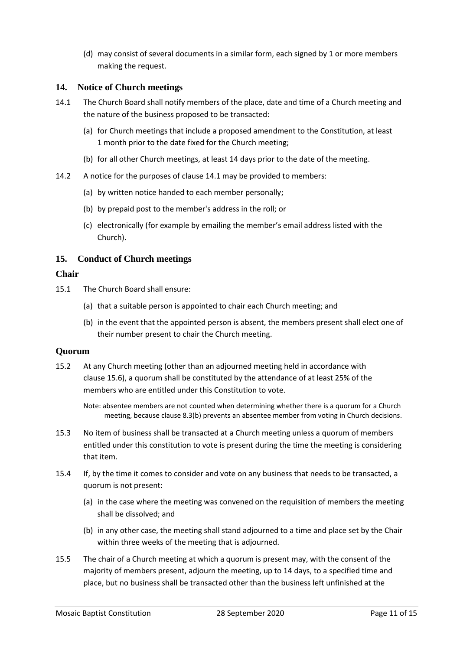(d) may consist of several documents in a similar form, each signed by 1 or more members making the request.

# <span id="page-10-0"></span>**14. Notice of Church meetings**

- 14.1 The Church Board shall notify members of the place, date and time of a Church meeting and the nature of the business proposed to be transacted:
	- (a) for Church meetings that include a proposed amendment to the Constitution, at least 1 month prior to the date fixed for the Church meeting;
	- (b) for all other Church meetings, at least 14 days prior to the date of the meeting.
- 14.2 A notice for the purposes of clause 14.1 may be provided to members:
	- (a) by written notice handed to each member personally;
	- (b) by prepaid post to the member's address in the roll; or
	- (c) electronically (for example by emailing the member's email address listed with the Church).

#### <span id="page-10-1"></span>**15. Conduct of Church meetings**

#### **Chair**

- 15.1 The Church Board shall ensure:
	- (a) that a suitable person is appointed to chair each Church meeting; and
	- (b) in the event that the appointed person is absent, the members present shall elect one of their number present to chair the Church meeting.

#### **Quorum**

15.2 At any Church meeting (other than an adjourned meeting held in accordance with clause 15.6), a quorum shall be constituted by the attendance of at least 25% of the members who are entitled under this Constitution to vote.

Note: absentee members are not counted when determining whether there is a quorum for a Church meeting, because clause 8.3(b) prevents an absentee member from voting in Church decisions.

- 15.3 No item of business shall be transacted at a Church meeting unless a quorum of members entitled under this constitution to vote is present during the time the meeting is considering that item.
- 15.4 If, by the time it comes to consider and vote on any business that needs to be transacted, a quorum is not present:
	- (a) in the case where the meeting was convened on the requisition of members the meeting shall be dissolved; and
	- (b) in any other case, the meeting shall stand adjourned to a time and place set by the Chair within three weeks of the meeting that is adjourned.
- 15.5 The chair of a Church meeting at which a quorum is present may, with the consent of the majority of members present, adjourn the meeting, up to 14 days, to a specified time and place, but no business shall be transacted other than the business left unfinished at the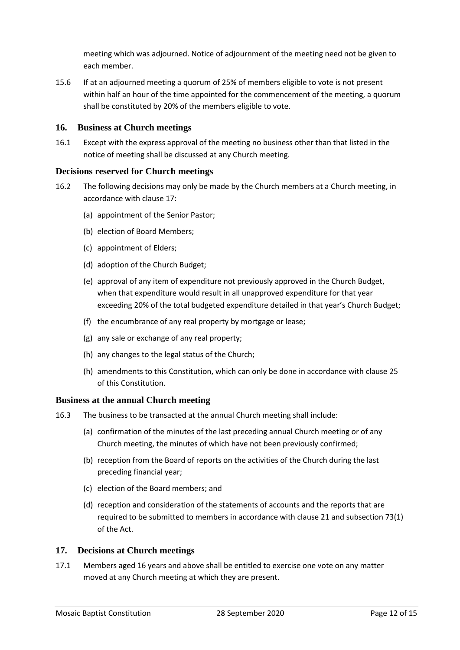meeting which was adjourned. Notice of adjournment of the meeting need not be given to each member.

15.6 If at an adjourned meeting a quorum of 25% of members eligible to vote is not present within half an hour of the time appointed for the commencement of the meeting, a quorum shall be constituted by 20% of the members eligible to vote.

# <span id="page-11-0"></span>**16. Business at Church meetings**

16.1 Except with the express approval of the meeting no business other than that listed in the notice of meeting shall be discussed at any Church meeting.

# **Decisions reserved for Church meetings**

- 16.2 The following decisions may only be made by the Church members at a Church meeting, in accordance with clause 17:
	- (a) appointment of the Senior Pastor;
	- (b) election of Board Members;
	- (c) appointment of Elders;
	- (d) adoption of the Church Budget;
	- (e) approval of any item of expenditure not previously approved in the Church Budget, when that expenditure would result in all unapproved expenditure for that year exceeding 20% of the total budgeted expenditure detailed in that year's Church Budget;
	- (f) the encumbrance of any real property by mortgage or lease;
	- (g) any sale or exchange of any real property;
	- (h) any changes to the legal status of the Church;
	- (h) amendments to this Constitution, which can only be done in accordance with clause 25 of this Constitution.

#### **Business at the annual Church meeting**

- 16.3 The business to be transacted at the annual Church meeting shall include:
	- (a) confirmation of the minutes of the last preceding annual Church meeting or of any Church meeting, the minutes of which have not been previously confirmed;
	- (b) reception from the Board of reports on the activities of the Church during the last preceding financial year;
	- (c) election of the Board members; and
	- (d) reception and consideration of the statements of accounts and the reports that are required to be submitted to members in accordance with clause 21 and subsection 73(1) of the Act.

#### <span id="page-11-1"></span>**17. Decisions at Church meetings**

17.1 Members aged 16 years and above shall be entitled to exercise one vote on any matter moved at any Church meeting at which they are present.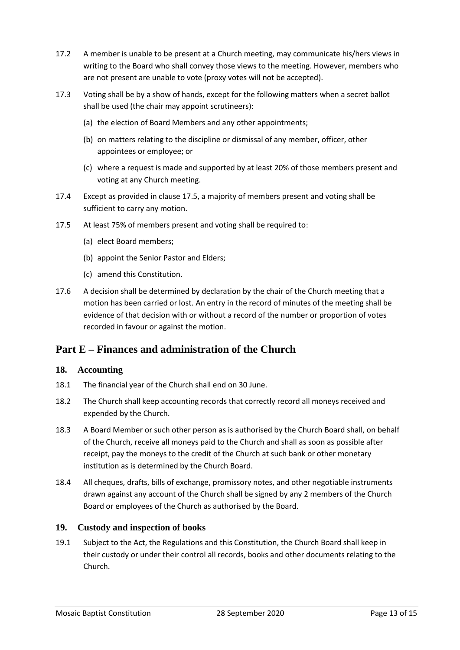- 17.2 A member is unable to be present at a Church meeting, may communicate his/hers views in writing to the Board who shall convey those views to the meeting. However, members who are not present are unable to vote (proxy votes will not be accepted).
- 17.3 Voting shall be by a show of hands, except for the following matters when a secret ballot shall be used (the chair may appoint scrutineers):
	- (a) the election of Board Members and any other appointments;
	- (b) on matters relating to the discipline or dismissal of any member, officer, other appointees or employee; or
	- (c) where a request is made and supported by at least 20% of those members present and voting at any Church meeting.
- 17.4 Except as provided in clause 17.5, a majority of members present and voting shall be sufficient to carry any motion.
- 17.5 At least 75% of members present and voting shall be required to:
	- (a) elect Board members;
	- (b) appoint the Senior Pastor and Elders;
	- (c) amend this Constitution.
- 17.6 A decision shall be determined by declaration by the chair of the Church meeting that a motion has been carried or lost. An entry in the record of minutes of the meeting shall be evidence of that decision with or without a record of the number or proportion of votes recorded in favour or against the motion.

# <span id="page-12-0"></span>**Part E – Finances and administration of the Church**

#### <span id="page-12-1"></span>**18. Accounting**

- 18.1 The financial year of the Church shall end on 30 June.
- 18.2 The Church shall keep accounting records that correctly record all moneys received and expended by the Church.
- 18.3 A Board Member or such other person as is authorised by the Church Board shall, on behalf of the Church, receive all moneys paid to the Church and shall as soon as possible after receipt, pay the moneys to the credit of the Church at such bank or other monetary institution as is determined by the Church Board.
- 18.4 All cheques, drafts, bills of exchange, promissory notes, and other negotiable instruments drawn against any account of the Church shall be signed by any 2 members of the Church Board or employees of the Church as authorised by the Board.

# <span id="page-12-2"></span>**19. Custody and inspection of books**

19.1 Subject to the Act, the Regulations and this Constitution, the Church Board shall keep in their custody or under their control all records, books and other documents relating to the Church.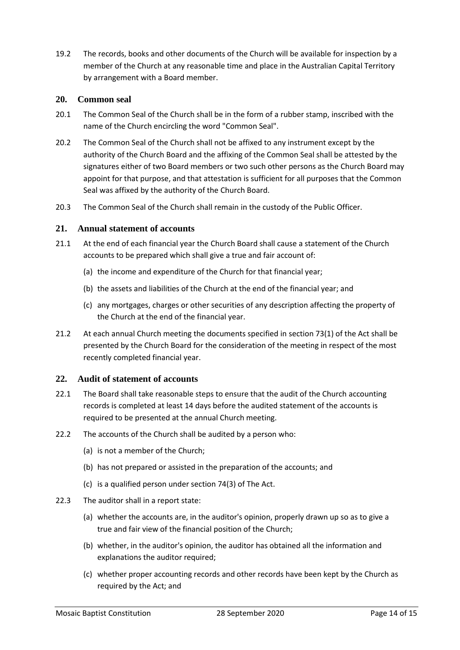19.2 The records, books and other documents of the Church will be available for inspection by a member of the Church at any reasonable time and place in the Australian Capital Territory by arrangement with a Board member.

#### <span id="page-13-0"></span>**20. Common seal**

- 20.1 The Common Seal of the Church shall be in the form of a rubber stamp, inscribed with the name of the Church encircling the word "Common Seal".
- 20.2 The Common Seal of the Church shall not be affixed to any instrument except by the authority of the Church Board and the affixing of the Common Seal shall be attested by the signatures either of two Board members or two such other persons as the Church Board may appoint for that purpose, and that attestation is sufficient for all purposes that the Common Seal was affixed by the authority of the Church Board.
- 20.3 The Common Seal of the Church shall remain in the custody of the Public Officer.

# <span id="page-13-1"></span>**21. Annual statement of accounts**

- 21.1 At the end of each financial year the Church Board shall cause a statement of the Church accounts to be prepared which shall give a true and fair account of:
	- (a) the income and expenditure of the Church for that financial year;
	- (b) the assets and liabilities of the Church at the end of the financial year; and
	- (c) any mortgages, charges or other securities of any description affecting the property of the Church at the end of the financial year.
- 21.2 At each annual Church meeting the documents specified in section 73(1) of the Act shall be presented by the Church Board for the consideration of the meeting in respect of the most recently completed financial year.

#### <span id="page-13-2"></span>**22. Audit of statement of accounts**

- 22.1 The Board shall take reasonable steps to ensure that the audit of the Church accounting records is completed at least 14 days before the audited statement of the accounts is required to be presented at the annual Church meeting.
- 22.2 The accounts of the Church shall be audited by a person who:
	- (a) is not a member of the Church;
	- (b) has not prepared or assisted in the preparation of the accounts; and
	- (c) is a qualified person under section 74(3) of The Act.
- 22.3 The auditor shall in a report state:
	- (a) whether the accounts are, in the auditor's opinion, properly drawn up so as to give a true and fair view of the financial position of the Church;
	- (b) whether, in the auditor's opinion, the auditor has obtained all the information and explanations the auditor required;
	- (c) whether proper accounting records and other records have been kept by the Church as required by the Act; and